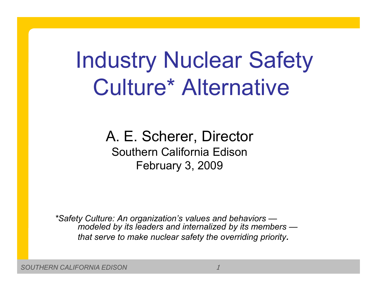# Industry Nuclear Safety Culture\* Alternative

A. E. Scherer, Director Southern California EdisonFebruary 3, 2009

*\*Safety Culture: An organization's values and behaviors modeled by its leaders and internalized by its members that serve to make nuclear safety the overriding priority.*

*SOUTHERN CALIFORNIA EDISON*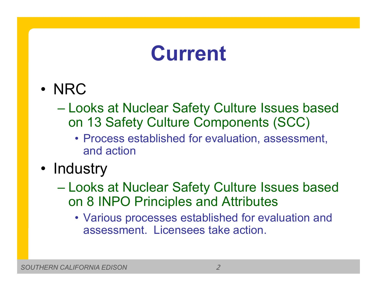#### **Current**

- NRC
	- Looks at Nuclear Safety Culture Issues based on 13 Safety Culture Components (SCC)
		- Process established for evaluation, assessment, and action
- Industry
	- Looks at Nuclear Safety Culture Issues based on 8 INPO Principles and Attributes
		- Various processes established for evaluation and assessment. Licensees take action.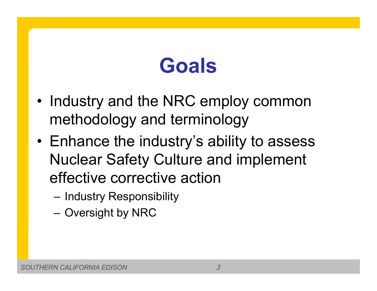## **Goals**

- • Industry and the NRC employ common methodology and terminology
- Enhance the industry's ability to assess Nuclear Safety Culture and implement effective corrective action
	- –Industry Responsibility
	- –Oversight by NRC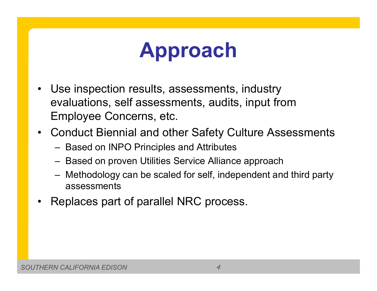### **Approach**

- • Use inspection results, assessments, industry evaluations, self assessments, audits, input from Employee Concerns, etc.
- • Conduct Biennial and other Safety Culture Assessments
	- Based on INPO Principles and Attributes
	- Based on proven Utilities Service Alliance approach
	- Methodology can be scaled for self, independent and third party assessments
- •Replaces part of parallel NRC process.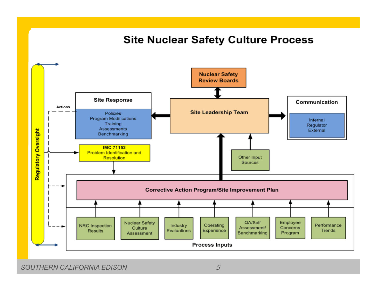#### **Site Nuclear Safety Culture Process**



*SOUTHERN CALIFORNIA EDISON*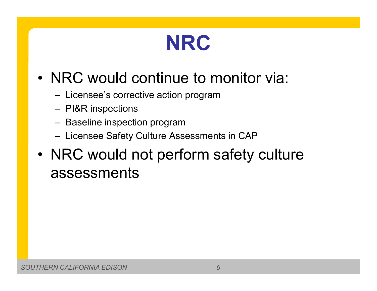

#### • NRC would continue to monitor via:

- Licensee's corrective action program
- PI&R inspections
- Baseline inspection program
- Licensee Safety Culture Assessments in CAP
- • NRC would not perform safety culture assessments